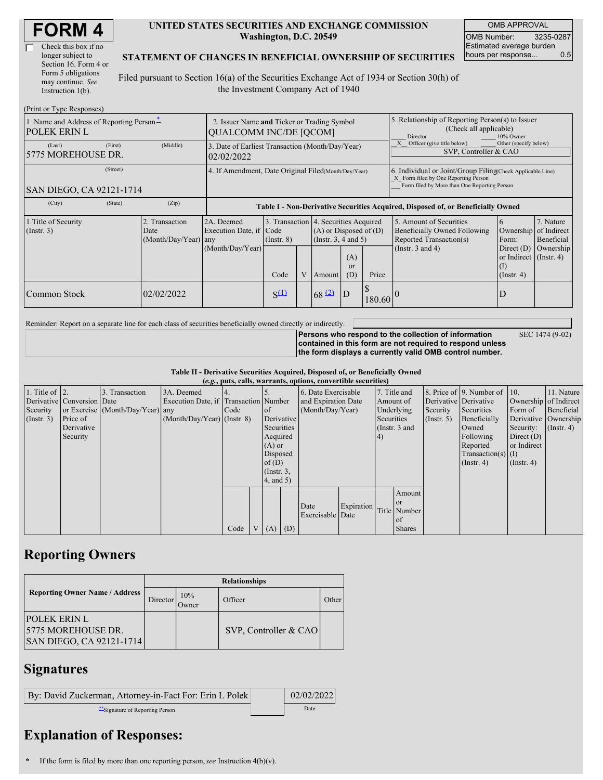| Check this box if no  |
|-----------------------|
| longer subject to     |
| Section 16. Form 4 or |
| Form 5 obligations    |
| may continue. See     |
| Instruction $1(b)$ .  |

#### **UNITED STATES SECURITIES AND EXCHANGE COMMISSION Washington, D.C. 20549**

OMB APPROVAL OMB Number: 3235-0287 Estimated average burden hours per response... 0.5

#### **STATEMENT OF CHANGES IN BENEFICIAL OWNERSHIP OF SECURITIES**

Filed pursuant to Section 16(a) of the Securities Exchange Act of 1934 or Section 30(h) of the Investment Company Act of 1940

| (Print or Type Responses)                                       |                                                                              |                        |                                                                                  |                 |  |                                                                                               |                                                                                                                                                    |        |                                                                                    |                                                                         |                         |
|-----------------------------------------------------------------|------------------------------------------------------------------------------|------------------------|----------------------------------------------------------------------------------|-----------------|--|-----------------------------------------------------------------------------------------------|----------------------------------------------------------------------------------------------------------------------------------------------------|--------|------------------------------------------------------------------------------------|-------------------------------------------------------------------------|-------------------------|
| 1. Name and Address of Reporting Person*<br><b>POLEK ERIN L</b> | 2. Issuer Name and Ticker or Trading Symbol<br><b>QUALCOMM INC/DE [QCOM]</b> |                        |                                                                                  |                 |  |                                                                                               | 5. Relationship of Reporting Person(s) to Issuer<br>(Check all applicable)<br>Director<br>10% Owner                                                |        |                                                                                    |                                                                         |                         |
| (Last)<br>5775 MOREHOUSE DR.                                    | (First)                                                                      | (Middle)               | 3. Date of Earliest Transaction (Month/Day/Year)<br>02/02/2022                   |                 |  |                                                                                               |                                                                                                                                                    |        | Other (specify below)<br>Officer (give title below)<br>SVP, Controller & CAO       |                                                                         |                         |
| (Street)<br>SAN DIEGO, CA 92121-1714                            | 4. If Amendment, Date Original Filed Month/Day/Year)                         |                        |                                                                                  |                 |  |                                                                                               | 6. Individual or Joint/Group Filing Check Applicable Line)<br>X Form filed by One Reporting Person<br>Form filed by More than One Reporting Person |        |                                                                                    |                                                                         |                         |
| (City)                                                          | (State)                                                                      | (Zip)                  | Table I - Non-Derivative Securities Acquired, Disposed of, or Beneficially Owned |                 |  |                                                                                               |                                                                                                                                                    |        |                                                                                    |                                                                         |                         |
| 1. Title of Security<br>Transaction<br>$($ Instr. 3 $)$<br>Date |                                                                              | $(Month/Day/Year)$ any | 2A. Deemed<br>Execution Date, if Code                                            | $($ Instr. $8)$ |  | 3. Transaction 4. Securities Acquired<br>$(A)$ or Disposed of $(D)$<br>$($ Instr. 3, 4 and 5) |                                                                                                                                                    |        | 5. Amount of Securities<br>Beneficially Owned Following<br>Reported Transaction(s) | 6.<br>Ownership of Indirect<br>Form:                                    | 7. Nature<br>Beneficial |
|                                                                 |                                                                              |                        | (Month/Day/Year)                                                                 | Code            |  | V Amount                                                                                      | (A)<br>or<br>(D)                                                                                                                                   | Price  | (Instr. $3$ and $4$ )                                                              | Direct $(D)$<br>or Indirect $($ Instr. 4 $)$<br>(I)<br>$($ Instr. 4 $)$ | Ownership               |
| Common Stock                                                    |                                                                              | 02/02/2022             |                                                                                  | $S^{(1)}$       |  | 68(2)                                                                                         | ID                                                                                                                                                 | 180.60 |                                                                                    | D                                                                       |                         |

Reminder: Report on a separate line for each class of securities beneficially owned directly or indirectly.

SEC 1474 (9-02)

**Persons who respond to the collection of information contained in this form are not required to respond unless the form displays a currently valid OMB control number.**

**Table II - Derivative Securities Acquired, Disposed of, or Beneficially Owned (***e.g.***, puts, calls, warrants, options, convertible securities)**

| $(c, g, pus, can, wariants, vpuons, convcituvto scentuvos)$ |                            |                                  |                                       |      |                |                 |                     |                          |                   |                 |               |                       |                              |                       |                      |
|-------------------------------------------------------------|----------------------------|----------------------------------|---------------------------------------|------|----------------|-----------------|---------------------|--------------------------|-------------------|-----------------|---------------|-----------------------|------------------------------|-----------------------|----------------------|
| 1. Title of $\vert$ 2.                                      |                            | 3. Transaction                   | 3A. Deemed                            |      |                |                 |                     | 6. Date Exercisable      |                   | 7. Title and    |               |                       | 8. Price of 9. Number of 10. |                       | 11. Nature           |
|                                                             | Derivative Conversion Date |                                  | Execution Date, if Transaction Number |      |                |                 | and Expiration Date |                          | Amount of         |                 |               | Derivative Derivative |                              | Ownership of Indirect |                      |
| Security                                                    |                            | or Exercise (Month/Day/Year) any |                                       | Code |                | <b>l</b> of     |                     | (Month/Day/Year)         |                   | Underlying      |               | Security              | Securities                   | Form of               | Beneficial           |
| $($ Instr. 3 $)$                                            | Price of                   |                                  | $(Month/Day/Year)$ (Instr. 8)         |      |                |                 | Derivative          |                          |                   | Securities      |               | $($ Instr. 5)         | Beneficially                 |                       | Derivative Ownership |
|                                                             | Derivative                 |                                  |                                       |      |                | Securities      |                     |                          |                   | (Instr. $3$ and |               |                       | Owned                        | Security:             | $($ Instr. 4 $)$     |
|                                                             | Security                   |                                  |                                       |      |                | Acquired        |                     |                          |                   | (4)             |               |                       | Following                    | Direct $(D)$          |                      |
|                                                             |                            |                                  |                                       |      |                | $(A)$ or        |                     |                          |                   |                 |               |                       | Reported                     | or Indirect           |                      |
|                                                             |                            |                                  |                                       |      |                |                 | Disposed            |                          |                   |                 |               | $Transaction(s)$ (I)  |                              |                       |                      |
|                                                             |                            |                                  |                                       |      |                | of(D)           |                     |                          |                   |                 |               |                       | $($ Instr. 4 $)$             | $($ Instr. 4 $)$      |                      |
|                                                             |                            |                                  |                                       |      |                | $($ Instr. $3,$ |                     |                          |                   |                 |               |                       |                              |                       |                      |
|                                                             |                            |                                  |                                       |      |                | $4$ , and $5$ ) |                     |                          |                   |                 |               |                       |                              |                       |                      |
|                                                             |                            |                                  |                                       |      |                |                 |                     |                          |                   |                 | Amount        |                       |                              |                       |                      |
|                                                             |                            |                                  |                                       |      |                |                 |                     |                          |                   |                 | or or         |                       |                              |                       |                      |
|                                                             |                            |                                  |                                       |      |                |                 |                     | Date<br>Exercisable Date | <b>Expiration</b> |                 | Title Number  |                       |                              |                       |                      |
|                                                             |                            |                                  |                                       |      |                |                 |                     |                          |                   |                 | of            |                       |                              |                       |                      |
|                                                             |                            |                                  |                                       | Code | V <sub>1</sub> |                 | $(A)$ $(D)$         |                          |                   |                 | <b>Shares</b> |                       |                              |                       |                      |

### **Reporting Owners**

|                                                                        | <b>Relationships</b>  |              |                          |       |  |  |  |  |  |
|------------------------------------------------------------------------|-----------------------|--------------|--------------------------|-------|--|--|--|--|--|
| <b>Reporting Owner Name / Address</b>                                  | Director <sup>'</sup> | 10%<br>Jwner | Officer                  | Other |  |  |  |  |  |
| <b>POLEK ERIN L</b><br>15775 MOREHOUSE DR.<br>SAN DIEGO, CA 92121-1714 |                       |              | $SVP$ , Controller & CAO |       |  |  |  |  |  |

## **Signatures**

| By: David Zuckerman, Attorney-in-Fact For: Erin L Polek | 02/02/2022 |
|---------------------------------------------------------|------------|
| Signature of Reporting Person                           | Date       |

# **Explanation of Responses:**

**<sup>\*</sup>** If the form is filed by more than one reporting person,*see* Instruction 4(b)(v).